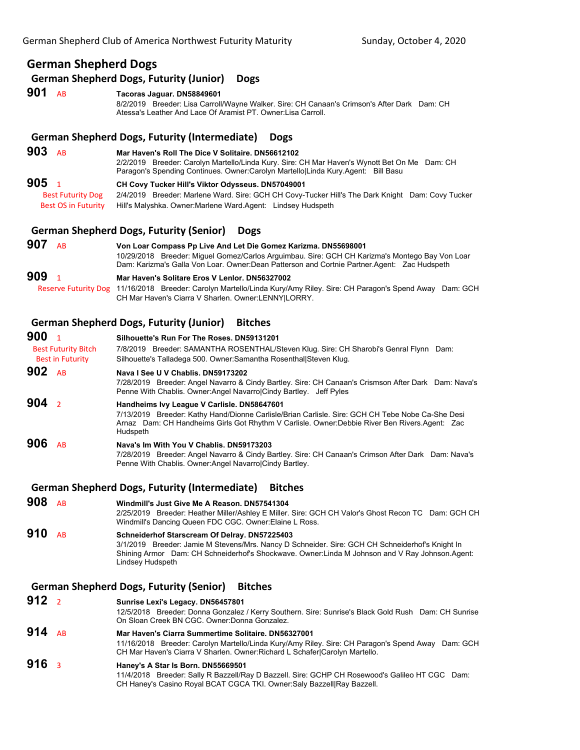# **German Shepherd Dogs**

**German Shepherd Dogs, Futurity (Junior) Dogs**

# **901** AB **Tacoras Jaguar. DN58849601**

8/2/2019 Breeder: Lisa Carroll/Wayne Walker. Sire: CH Canaan's Crimson's After Dark Dam: CH Atessa's Leather And Lace Of Aramist PT. Owner:Lisa Carroll.

#### **German Shepherd Dogs, Futurity (Intermediate) Dogs**

| 903<br><b>AB</b>           | Mar Haven's Roll The Dice V Solitaire, DN56612102<br>2/2/2019 Breeder: Carolyn Martello/Linda Kury. Sire: CH Mar Haven's Wynott Bet On Me Dam: CH<br>Paragon's Spending Continues. Owner:Carolyn MartellolLinda Kury.Agent: Bill Basu |
|----------------------------|---------------------------------------------------------------------------------------------------------------------------------------------------------------------------------------------------------------------------------------|
| 905                        | CH Covy Tucker Hill's Viktor Odysseus. DN57049001                                                                                                                                                                                     |
| <b>Best Futurity Dog</b>   | 2/4/2019 Breeder: Marlene Ward. Sire: GCH CH Covy-Tucker Hill's The Dark Knight Dam: Covy Tucker                                                                                                                                      |
| <b>Best OS in Futurity</b> | Hill's Malyshka. Owner: Marlene Ward. Agent: Lindsey Hudspeth                                                                                                                                                                         |

### **German Shepherd Dogs, Futurity (Senior) Dogs**

| 907<br>A <sub>R</sub> | Von Loar Compass Pp Live And Let Die Gomez Karizma. DN55698001<br>10/29/2018 Breeder: Miquel Gomez/Carlos Arquimbau. Sire: GCH CH Karizma's Montego Bay Von Loar<br>Dam: Karizma's Galla Von Loar. Owner: Dean Patterson and Cortnie Partner Agent: Zac Hudspeth |
|-----------------------|------------------------------------------------------------------------------------------------------------------------------------------------------------------------------------------------------------------------------------------------------------------|
| 909                   | Mar Haven's Solitare Eros V Lenlor, DN56327002                                                                                                                                                                                                                   |
|                       | Reserve Futurity Dog 11/16/2018 Breeder: Carolyn Martello/Linda Kury/Amy Riley. Sire: CH Paragon's Spend Away Dam: GCH                                                                                                                                           |
|                       | CH Mar Haven's Ciarra V Sharlen. Owner: LENNY LORRY.                                                                                                                                                                                                             |

### **German Shepherd Dogs, Futurity (Junior) Bitches**

| 900<br><b>Best Futurity Bitch</b><br><b>Best in Futurity</b> | Silhouette's Run For The Roses, DN59131201<br>7/8/2019 Breeder: SAMANTHA ROSENTHAL/Steven Klug. Sire: CH Sharobi's Genral Flynn Dam:<br>Silhouette's Talladega 500. Owner: Samantha Rosenthal Steven Klug.                                                    |
|--------------------------------------------------------------|---------------------------------------------------------------------------------------------------------------------------------------------------------------------------------------------------------------------------------------------------------------|
| 902 AB                                                       | Nava I See U V Chablis, DN59173202<br>7/28/2019 Breeder: Angel Navarro & Cindy Bartley. Sire: CH Canaan's Crismson After Dark Dam: Nava's<br>Penne With Chablis. Owner: Angel Navarrol Cindy Bartley. Jeff Pyles                                              |
| 904 $\frac{1}{2}$                                            | Handheims Ivy League V Carlisle. DN58647601<br>7/13/2019 Breeder: Kathy Hand/Dionne Carlisle/Brian Carlisle. Sire: GCH CH Tebe Nobe Ca-She Desi<br>Arnaz Dam: CH Handheims Girls Got Rhythm V Carlisle. Owner: Debbie River Ben Rivers Agent: Zac<br>Hudspeth |
| 906<br><b>AR</b>                                             | Nava's Im With You V Chablis, DN59173203<br>7/28/2019 Breeder: Angel Navarro & Cindy Bartley. Sire: CH Canaan's Crimson After Dark Dam: Nava's<br>Penne With Chablis. Owner: Angel Navarrol Cindy Bartley.                                                    |

#### **German Shepherd Dogs, Futurity (Intermediate) Bitches**

**908** AB **Windmill's Just Give Me A Reason. DN57541304** 2/25/2019 Breeder: Heather Miller/Ashley E Miller. Sire: GCH CH Valor's Ghost Recon TC Dam: GCH CH Windmill's Dancing Queen FDC CGC. Owner:Elaine L Ross. **910** AB **Schneiderhof Starscream Of Delray. DN57225403**

3/1/2019 Breeder: Jamie M Stevens/Mrs. Nancy D Schneider. Sire: GCH CH Schneiderhof's Knight In Shining Armor Dam: CH Schneiderhof's Shockwave. Owner:Linda M Johnson and V Ray Johnson.Agent: Lindsey Hudspeth

# **German Shepherd Dogs, Futurity (Senior) Bitches**

- **912** <sup>2</sup> **Sunrise Lexi's Legacy. DN56457801** 12/5/2018 Breeder: Donna Gonzalez / Kerry Southern. Sire: Sunrise's Black Gold Rush Dam: CH Sunrise On Sloan Creek BN CGC. Owner:Donna Gonzalez.
- **914** AB **Mar Haven's Ciarra Summertime Solitaire. DN56327001** 11/16/2018 Breeder: Carolyn Martello/Linda Kury/Amy Riley. Sire: CH Paragon's Spend Away Dam: GCH CH Mar Haven's Ciarra V Sharlen. Owner:Richard L Schafer|Carolyn Martello.

# **916** <sup>3</sup> **Haney's A Star Is Born. DN55669501**

11/4/2018 Breeder: Sally R Bazzell/Ray D Bazzell. Sire: GCHP CH Rosewood's Galileo HT CGC Dam: CH Haney's Casino Royal BCAT CGCA TKI. Owner:Saly Bazzell|Ray Bazzell.